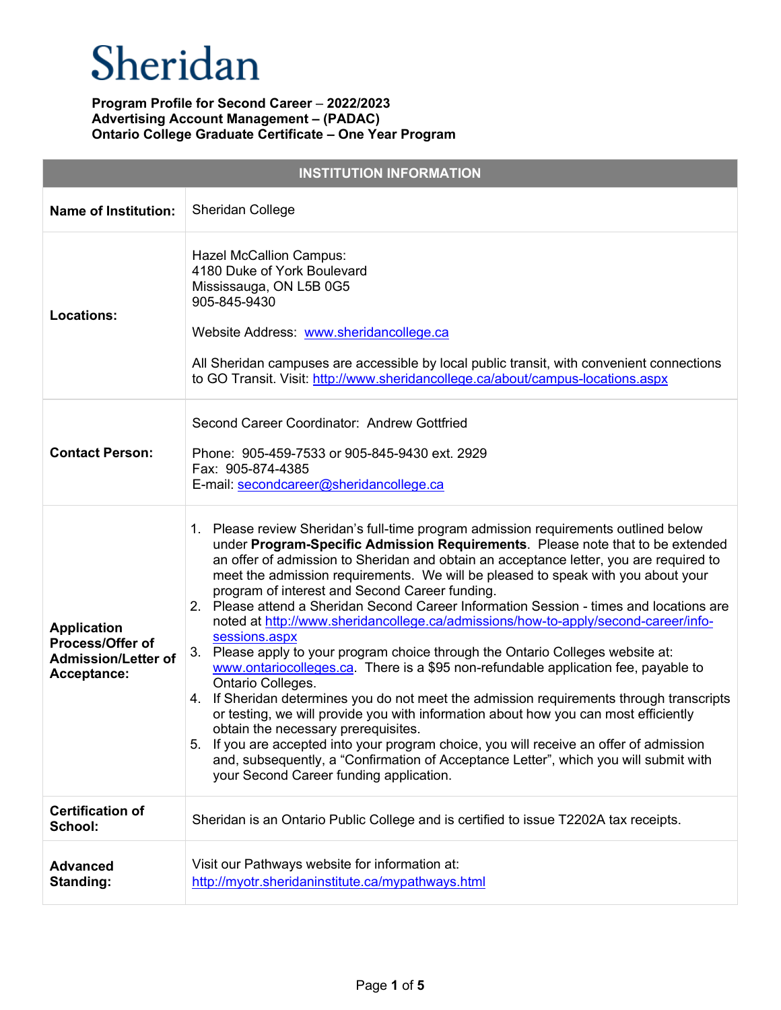| <b>INSTITUTION INFORMATION</b>                                                      |                                                                                                                                                                                                                                                                                                                                                                                                                                                                                                                                                                                                                                                                                                                                                                                                                                                                                                                                                                                                                                                                                                                                                                                                                                                                     |  |
|-------------------------------------------------------------------------------------|---------------------------------------------------------------------------------------------------------------------------------------------------------------------------------------------------------------------------------------------------------------------------------------------------------------------------------------------------------------------------------------------------------------------------------------------------------------------------------------------------------------------------------------------------------------------------------------------------------------------------------------------------------------------------------------------------------------------------------------------------------------------------------------------------------------------------------------------------------------------------------------------------------------------------------------------------------------------------------------------------------------------------------------------------------------------------------------------------------------------------------------------------------------------------------------------------------------------------------------------------------------------|--|
| <b>Name of Institution:</b>                                                         | Sheridan College                                                                                                                                                                                                                                                                                                                                                                                                                                                                                                                                                                                                                                                                                                                                                                                                                                                                                                                                                                                                                                                                                                                                                                                                                                                    |  |
| <b>Locations:</b>                                                                   | <b>Hazel McCallion Campus:</b><br>4180 Duke of York Boulevard<br>Mississauga, ON L5B 0G5<br>905-845-9430<br>Website Address: www.sheridancollege.ca<br>All Sheridan campuses are accessible by local public transit, with convenient connections<br>to GO Transit. Visit: http://www.sheridancollege.ca/about/campus-locations.aspx                                                                                                                                                                                                                                                                                                                                                                                                                                                                                                                                                                                                                                                                                                                                                                                                                                                                                                                                 |  |
| <b>Contact Person:</b>                                                              | Second Career Coordinator: Andrew Gottfried<br>Phone: 905-459-7533 or 905-845-9430 ext. 2929<br>Fax: 905-874-4385<br>E-mail: secondcareer@sheridancollege.ca                                                                                                                                                                                                                                                                                                                                                                                                                                                                                                                                                                                                                                                                                                                                                                                                                                                                                                                                                                                                                                                                                                        |  |
| <b>Application</b><br>Process/Offer of<br><b>Admission/Letter of</b><br>Acceptance: | 1. Please review Sheridan's full-time program admission requirements outlined below<br>under Program-Specific Admission Requirements. Please note that to be extended<br>an offer of admission to Sheridan and obtain an acceptance letter, you are required to<br>meet the admission requirements. We will be pleased to speak with you about your<br>program of interest and Second Career funding.<br>Please attend a Sheridan Second Career Information Session - times and locations are<br>2.<br>noted at http://www.sheridancollege.ca/admissions/how-to-apply/second-career/info-<br>sessions.aspx<br>3. Please apply to your program choice through the Ontario Colleges website at:<br>www.ontariocolleges.ca. There is a \$95 non-refundable application fee, payable to<br>Ontario Colleges.<br>4. If Sheridan determines you do not meet the admission requirements through transcripts<br>or testing, we will provide you with information about how you can most efficiently<br>obtain the necessary prerequisites.<br>If you are accepted into your program choice, you will receive an offer of admission<br>5.<br>and, subsequently, a "Confirmation of Acceptance Letter", which you will submit with<br>your Second Career funding application. |  |
| <b>Certification of</b><br>School:                                                  | Sheridan is an Ontario Public College and is certified to issue T2202A tax receipts.                                                                                                                                                                                                                                                                                                                                                                                                                                                                                                                                                                                                                                                                                                                                                                                                                                                                                                                                                                                                                                                                                                                                                                                |  |
| <b>Advanced</b><br><b>Standing:</b>                                                 | Visit our Pathways website for information at:<br>http://myotr.sheridaninstitute.ca/mypathways.html                                                                                                                                                                                                                                                                                                                                                                                                                                                                                                                                                                                                                                                                                                                                                                                                                                                                                                                                                                                                                                                                                                                                                                 |  |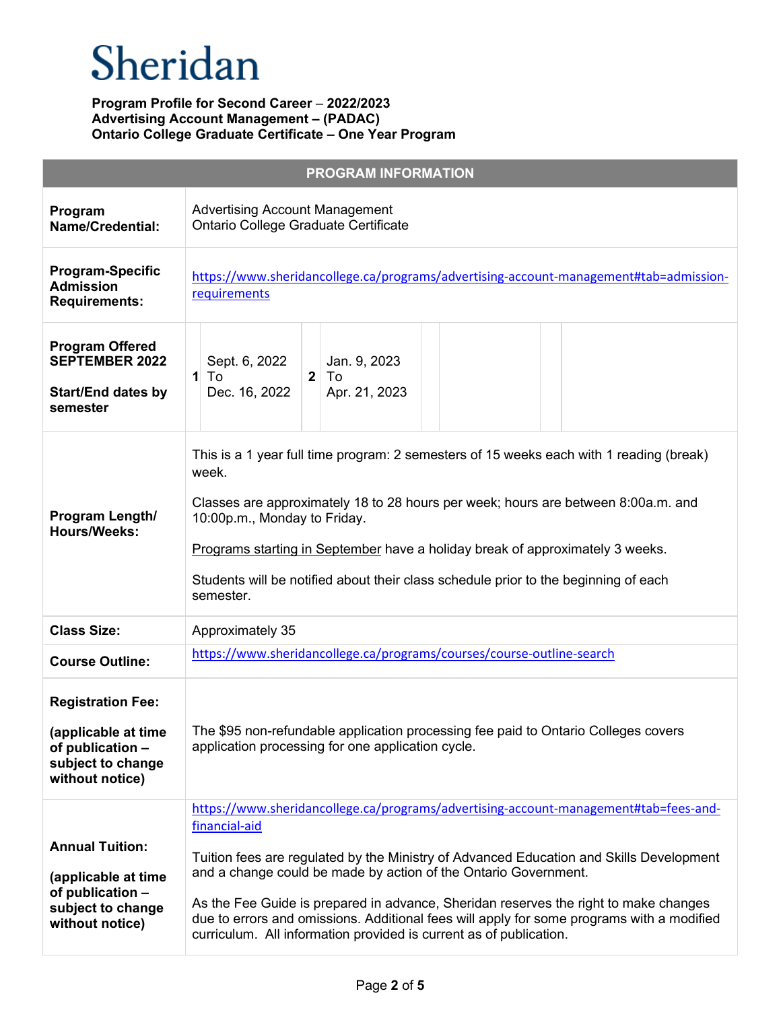|                                                                                                             | <b>PROGRAM INFORMATION</b>                                                                                                                                                                                                                                                                                                                                                                                                                                                                                                     |
|-------------------------------------------------------------------------------------------------------------|--------------------------------------------------------------------------------------------------------------------------------------------------------------------------------------------------------------------------------------------------------------------------------------------------------------------------------------------------------------------------------------------------------------------------------------------------------------------------------------------------------------------------------|
| Program<br><b>Name/Credential:</b>                                                                          | <b>Advertising Account Management</b><br>Ontario College Graduate Certificate                                                                                                                                                                                                                                                                                                                                                                                                                                                  |
| <b>Program-Specific</b><br><b>Admission</b><br><b>Requirements:</b>                                         | https://www.sheridancollege.ca/programs/advertising-account-management#tab=admission-<br>requirements                                                                                                                                                                                                                                                                                                                                                                                                                          |
| <b>Program Offered</b><br><b>SEPTEMBER 2022</b><br><b>Start/End dates by</b><br>semester                    | Sept. 6, 2022<br>Jan. 9, 2023<br>$1$ To<br>2 <sup>1</sup><br>To<br>Dec. 16, 2022<br>Apr. 21, 2023                                                                                                                                                                                                                                                                                                                                                                                                                              |
| Program Length/<br><b>Hours/Weeks:</b>                                                                      | This is a 1 year full time program: 2 semesters of 15 weeks each with 1 reading (break)<br>week.<br>Classes are approximately 18 to 28 hours per week; hours are between 8:00a.m. and<br>10:00p.m., Monday to Friday.<br>Programs starting in September have a holiday break of approximately 3 weeks.<br>Students will be notified about their class schedule prior to the beginning of each<br>semester.                                                                                                                     |
| <b>Class Size:</b>                                                                                          | Approximately 35                                                                                                                                                                                                                                                                                                                                                                                                                                                                                                               |
| <b>Course Outline:</b>                                                                                      | https://www.sheridancollege.ca/programs/courses/course-outline-search                                                                                                                                                                                                                                                                                                                                                                                                                                                          |
| <b>Registration Fee:</b><br>(applicable at time<br>of publication -<br>subject to change<br>without notice) | The \$95 non-refundable application processing fee paid to Ontario Colleges covers<br>application processing for one application cycle.                                                                                                                                                                                                                                                                                                                                                                                        |
| <b>Annual Tuition:</b><br>(applicable at time<br>of publication -<br>subject to change<br>without notice)   | https://www.sheridancollege.ca/programs/advertising-account-management#tab=fees-and-<br>financial-aid<br>Tuition fees are regulated by the Ministry of Advanced Education and Skills Development<br>and a change could be made by action of the Ontario Government.<br>As the Fee Guide is prepared in advance, Sheridan reserves the right to make changes<br>due to errors and omissions. Additional fees will apply for some programs with a modified<br>curriculum. All information provided is current as of publication. |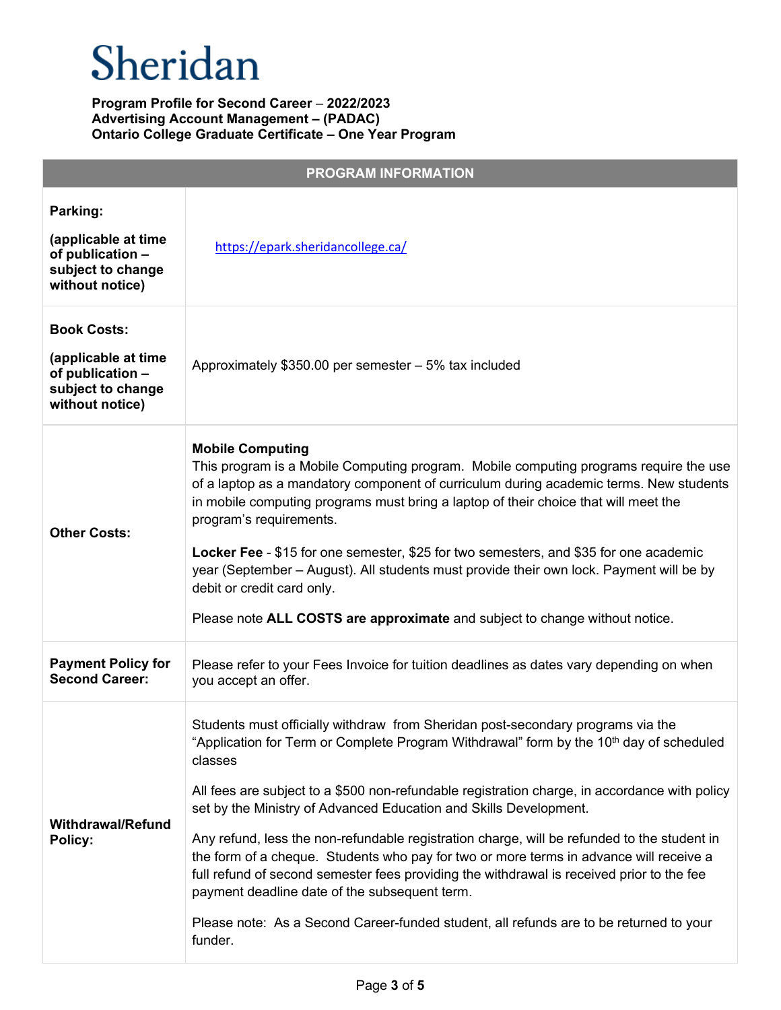| <b>PROGRAM INFORMATION</b>                                                                            |                                                                                                                                                                                                                                                                                                                                                                                                                                                                                                                                                                                                                                                                                                                                                                                                                     |  |
|-------------------------------------------------------------------------------------------------------|---------------------------------------------------------------------------------------------------------------------------------------------------------------------------------------------------------------------------------------------------------------------------------------------------------------------------------------------------------------------------------------------------------------------------------------------------------------------------------------------------------------------------------------------------------------------------------------------------------------------------------------------------------------------------------------------------------------------------------------------------------------------------------------------------------------------|--|
| Parking:<br>(applicable at time<br>of publication -<br>subject to change<br>without notice)           | https://epark.sheridancollege.ca/                                                                                                                                                                                                                                                                                                                                                                                                                                                                                                                                                                                                                                                                                                                                                                                   |  |
| <b>Book Costs:</b><br>(applicable at time<br>of publication -<br>subject to change<br>without notice) | Approximately \$350.00 per semester - 5% tax included                                                                                                                                                                                                                                                                                                                                                                                                                                                                                                                                                                                                                                                                                                                                                               |  |
| <b>Other Costs:</b>                                                                                   | <b>Mobile Computing</b><br>This program is a Mobile Computing program. Mobile computing programs require the use<br>of a laptop as a mandatory component of curriculum during academic terms. New students<br>in mobile computing programs must bring a laptop of their choice that will meet the<br>program's requirements.<br>Locker Fee - \$15 for one semester, \$25 for two semesters, and \$35 for one academic<br>year (September – August). All students must provide their own lock. Payment will be by<br>debit or credit card only.<br>Please note ALL COSTS are approximate and subject to change without notice.                                                                                                                                                                                       |  |
| <b>Payment Policy for</b><br><b>Second Career:</b>                                                    | Please refer to your Fees Invoice for tuition deadlines as dates vary depending on when<br>you accept an offer.                                                                                                                                                                                                                                                                                                                                                                                                                                                                                                                                                                                                                                                                                                     |  |
| <b>Withdrawal/Refund</b><br>Policy:                                                                   | Students must officially withdraw from Sheridan post-secondary programs via the<br>"Application for Term or Complete Program Withdrawal" form by the 10 <sup>th</sup> day of scheduled<br>classes<br>All fees are subject to a \$500 non-refundable registration charge, in accordance with policy<br>set by the Ministry of Advanced Education and Skills Development.<br>Any refund, less the non-refundable registration charge, will be refunded to the student in<br>the form of a cheque. Students who pay for two or more terms in advance will receive a<br>full refund of second semester fees providing the withdrawal is received prior to the fee<br>payment deadline date of the subsequent term.<br>Please note: As a Second Career-funded student, all refunds are to be returned to your<br>funder. |  |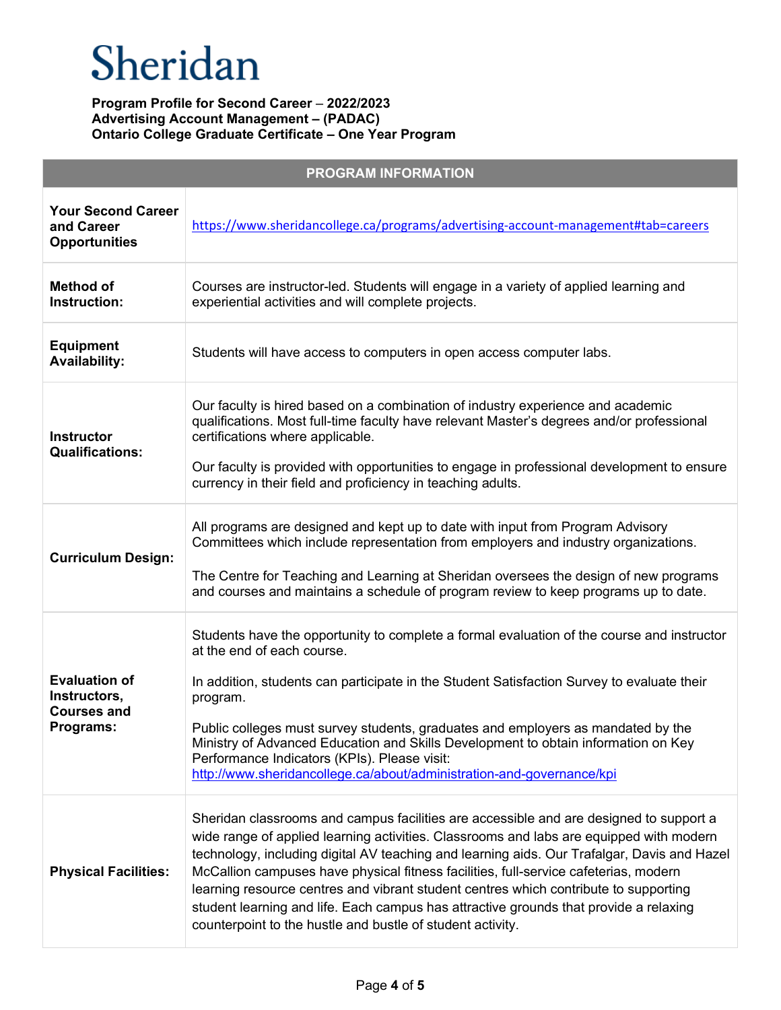| <b>PROGRAM INFORMATION</b>                                              |                                                                                                                                                                                                                                                                                                                                                                                                                                                                                                                                                                                                                         |  |
|-------------------------------------------------------------------------|-------------------------------------------------------------------------------------------------------------------------------------------------------------------------------------------------------------------------------------------------------------------------------------------------------------------------------------------------------------------------------------------------------------------------------------------------------------------------------------------------------------------------------------------------------------------------------------------------------------------------|--|
| <b>Your Second Career</b><br>and Career<br><b>Opportunities</b>         | https://www.sheridancollege.ca/programs/advertising-account-management#tab=careers                                                                                                                                                                                                                                                                                                                                                                                                                                                                                                                                      |  |
| <b>Method of</b><br>Instruction:                                        | Courses are instructor-led. Students will engage in a variety of applied learning and<br>experiential activities and will complete projects.                                                                                                                                                                                                                                                                                                                                                                                                                                                                            |  |
| <b>Equipment</b><br><b>Availability:</b>                                | Students will have access to computers in open access computer labs.                                                                                                                                                                                                                                                                                                                                                                                                                                                                                                                                                    |  |
| <b>Instructor</b><br><b>Qualifications:</b>                             | Our faculty is hired based on a combination of industry experience and academic<br>qualifications. Most full-time faculty have relevant Master's degrees and/or professional<br>certifications where applicable.<br>Our faculty is provided with opportunities to engage in professional development to ensure<br>currency in their field and proficiency in teaching adults.                                                                                                                                                                                                                                           |  |
| <b>Curriculum Design:</b>                                               | All programs are designed and kept up to date with input from Program Advisory<br>Committees which include representation from employers and industry organizations.<br>The Centre for Teaching and Learning at Sheridan oversees the design of new programs<br>and courses and maintains a schedule of program review to keep programs up to date.                                                                                                                                                                                                                                                                     |  |
| <b>Evaluation of</b><br>Instructors,<br><b>Courses and</b><br>Programs: | Students have the opportunity to complete a formal evaluation of the course and instructor<br>at the end of each course.<br>In addition, students can participate in the Student Satisfaction Survey to evaluate their<br>program.<br>Public colleges must survey students, graduates and employers as mandated by the<br>Ministry of Advanced Education and Skills Development to obtain information on Key<br>Performance Indicators (KPIs). Please visit:<br>http://www.sheridancollege.ca/about/administration-and-governance/kpi                                                                                   |  |
| <b>Physical Facilities:</b>                                             | Sheridan classrooms and campus facilities are accessible and are designed to support a<br>wide range of applied learning activities. Classrooms and labs are equipped with modern<br>technology, including digital AV teaching and learning aids. Our Trafalgar, Davis and Hazel<br>McCallion campuses have physical fitness facilities, full-service cafeterias, modern<br>learning resource centres and vibrant student centres which contribute to supporting<br>student learning and life. Each campus has attractive grounds that provide a relaxing<br>counterpoint to the hustle and bustle of student activity. |  |